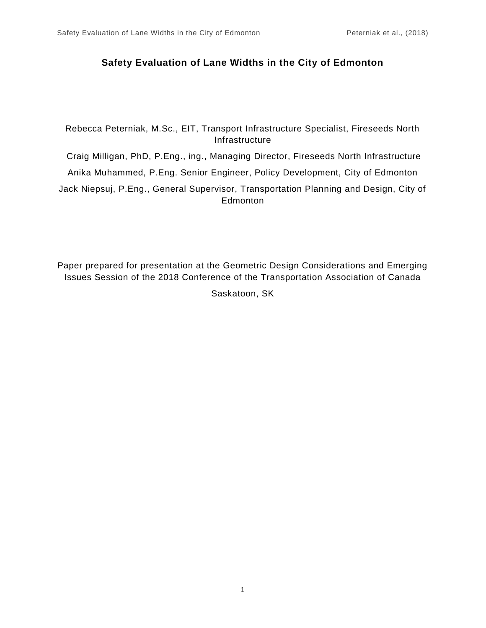# **Safety Evaluation of Lane Widths in the City of Edmonton**

Rebecca Peterniak, M.Sc., EIT, Transport Infrastructure Specialist, Fireseeds North Infrastructure

Craig Milligan, PhD, P.Eng., ing., Managing Director, Fireseeds North Infrastructure

Anika Muhammed, P.Eng. Senior Engineer, Policy Development, City of Edmonton

Jack Niepsuj, P.Eng., General Supervisor, Transportation Planning and Design, City of Edmonton

Paper prepared for presentation at the Geometric Design Considerations and Emerging Issues Session of the 2018 Conference of the Transportation Association of Canada

Saskatoon, SK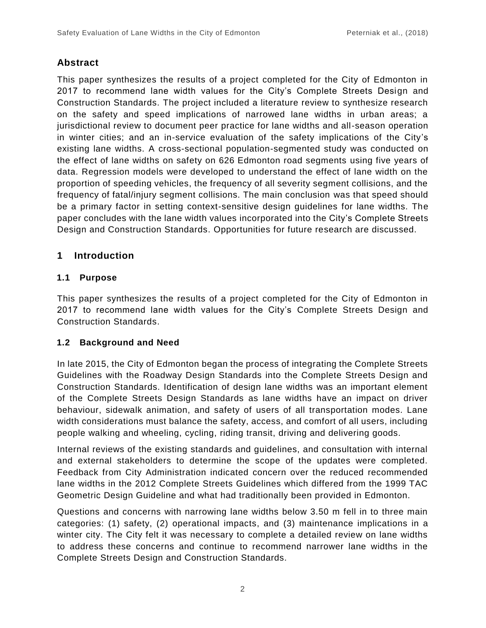# **Abstract**

This paper synthesizes the results of a project completed for the City of Edmonton in 2017 to recommend lane width values for the City's Complete Streets Design and Construction Standards. The project included a literature review to synthesize research on the safety and speed implications of narrowed lane widths in urban areas; a jurisdictional review to document peer practice for lane widths and all-season operation in winter cities; and an in-service evaluation of the safety implications of the City's existing lane widths. A cross-sectional population-segmented study was conducted on the effect of lane widths on safety on 626 Edmonton road segments using five years of data. Regression models were developed to understand the effect of lane width on the proportion of speeding vehicles, the frequency of all severity segment collisions, and the frequency of fatal/injury segment collisions. The main conclusion was that speed should be a primary factor in setting context-sensitive design guidelines for lane widths. The paper concludes with the lane width values incorporated into the City's Complete Streets Design and Construction Standards. Opportunities for future research are discussed.

# **1 Introduction**

# **1.1 Purpose**

This paper synthesizes the results of a project completed for the City of Edmonton in 2017 to recommend lane width values for the City's Complete Streets Design and Construction Standards.

# **1.2 Background and Need**

In late 2015, the City of Edmonton began the process of integrating the Complete Streets Guidelines with the Roadway Design Standards into the Complete Streets Design and Construction Standards. Identification of design lane widths was an important element of the Complete Streets Design Standards as lane widths have an impact on driver behaviour, sidewalk animation, and safety of users of all transportation modes. Lane width considerations must balance the safety, access, and comfort of all users, including people walking and wheeling, cycling, riding transit, driving and delivering goods.

Internal reviews of the existing standards and guidelines, and consultation with internal and external stakeholders to determine the scope of the updates were completed. Feedback from City Administration indicated concern over the reduced recommended lane widths in the 2012 Complete Streets Guidelines which differed from the 1999 TAC Geometric Design Guideline and what had traditionally been provided in Edmonton.

Questions and concerns with narrowing lane widths below 3.50 m fell in to three main categories: (1) safety, (2) operational impacts, and (3) maintenance implications in a winter city. The City felt it was necessary to complete a detailed review on lane widths to address these concerns and continue to recommend narrower lane widths in the Complete Streets Design and Construction Standards.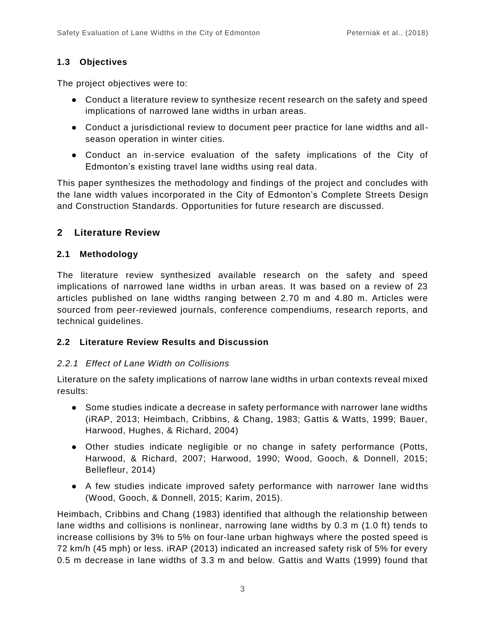### **1.3 Objectives**

The project objectives were to:

- Conduct a literature review to synthesize recent research on the safety and speed implications of narrowed lane widths in urban areas.
- Conduct a jurisdictional review to document peer practice for lane widths and allseason operation in winter cities.
- Conduct an in-service evaluation of the safety implications of the City of Edmonton's existing travel lane widths using real data.

This paper synthesizes the methodology and findings of the project and concludes with the lane width values incorporated in the City of Edmonton's Complete Streets Design and Construction Standards. Opportunities for future research are discussed.

# **2 Literature Review**

#### **2.1 Methodology**

The literature review synthesized available research on the safety and speed implications of narrowed lane widths in urban areas. It was based on a review of 23 articles published on lane widths ranging between 2.70 m and 4.80 m. Articles were sourced from peer-reviewed journals, conference compendiums, research reports, and technical guidelines.

#### **2.2 Literature Review Results and Discussion**

#### *2.2.1 Effect of Lane Width on Collisions*

Literature on the safety implications of narrow lane widths in urban contexts reveal mixed results:

- Some studies indicate a decrease in safety performance with narrower lane widths (iRAP, 2013; Heimbach, Cribbins, & Chang, 1983; Gattis & Watts, 1999; Bauer, Harwood, Hughes, & Richard, 2004)
- Other studies indicate negligible or no change in safety performance (Potts, Harwood, & Richard, 2007; Harwood, 1990; Wood, Gooch, & Donnell, 2015; Bellefleur, 2014)
- A few studies indicate improved safety performance with narrower lane widths (Wood, Gooch, & Donnell, 2015; Karim, 2015).

Heimbach, Cribbins and Chang (1983) identified that although the relationship between lane widths and collisions is nonlinear, narrowing lane widths by 0.3 m (1.0 ft) tends to increase collisions by 3% to 5% on four-lane urban highways where the posted speed is 72 km/h (45 mph) or less. iRAP (2013) indicated an increased safety risk of 5% for every 0.5 m decrease in lane widths of 3.3 m and below. Gattis and Watts (1999) found that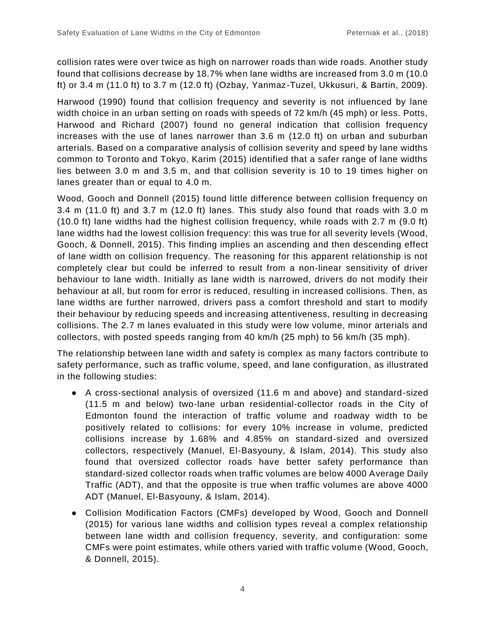collision rates were over twice as high on narrower roads than wide roads. Another study found that collisions decrease by 18.7% when lane widths are increased from 3.0 m (10.0 ft) or 3.4 m (11.0 ft) to 3.7 m (12.0 ft) (Ozbay, Yanmaz-Tuzel, Ukkusuri, & Bartin, 2009).

Harwood (1990) found that collision frequency and severity is not influenced by lane width choice in an urban setting on roads with speeds of 72 km/h (45 mph) or less. Potts, Harwood and Richard (2007) found no general indication that collision frequency increases with the use of lanes narrower than 3.6 m (12.0 ft) on urban and suburban arterials. Based on a comparative analysis of collision severity and speed by lane widths common to Toronto and Tokyo, Karim (2015) identified that a safer range of lane widths lies between 3.0 m and 3.5 m, and that collision severity is 10 to 19 times higher on lanes greater than or equal to 4.0 m.

Wood, Gooch and Donnell (2015) found little difference between collision frequency on 3.4 m (11.0 ft) and 3.7 m (12.0 ft) lanes. This study also found that roads with 3.0 m (10.0 ft) lane widths had the highest collision frequency, while roads with 2.7 m (9.0 ft) lane widths had the lowest collision frequency: this was true for all severity levels (Wood, Gooch, & Donnell, 2015). This finding implies an ascending and then descending effect of lane width on collision frequency. The reasoning for this apparent relationship is not completely clear but could be inferred to result from a non-linear sensitivity of driver behaviour to lane width. Initially as lane width is narrowed, drivers do not modify their behaviour at all, but room for error is reduced, resulting in increased collisions. Then, as lane widths are further narrowed, drivers pass a comfort threshold and start to modify their behaviour by reducing speeds and increasing attentiveness, resulting in decreasing collisions. The 2.7 m lanes evaluated in this study were low volume, minor arterials and collectors, with posted speeds ranging from 40 km/h (25 mph) to 56 km/h (35 mph).

The relationship between lane width and safety is complex as many factors contribute to safety performance, such as traffic volume, speed, and lane configuration, as illustrated in the following studies:

- A cross-sectional analysis of oversized (11.6 m and above) and standard-sized (11.5 m and below) two-lane urban residential-collector roads in the City of Edmonton found the interaction of traffic volume and roadway width to be positively related to collisions: for every 10% increase in volume, predicted collisions increase by 1.68% and 4.85% on standard-sized and oversized collectors, respectively (Manuel, El-Basyouny, & Islam, 2014). This study also found that oversized collector roads have better safety performance than standard-sized collector roads when traffic volumes are below 4000 Average Daily Traffic (ADT), and that the opposite is true when traffic volumes are above 4000 ADT (Manuel, El-Basyouny, & Islam, 2014).
- Collision Modification Factors (CMFs) developed by Wood, Gooch and Donnell (2015) for various lane widths and collision types reveal a complex relationship between lane width and collision frequency, severity, and configuration: some CMFs were point estimates, while others varied with traffic volume (Wood, Gooch, & Donnell, 2015).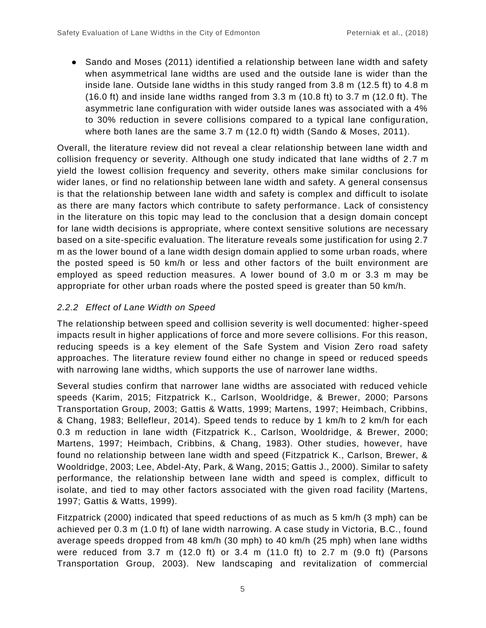● Sando and Moses (2011) identified a relationship between lane width and safety when asymmetrical lane widths are used and the outside lane is wider than the inside lane. Outside lane widths in this study ranged from 3.8 m (12.5 ft) to 4.8 m  $(16.0 \text{ ft})$  and inside lane widths ranged from 3.3 m  $(10.8 \text{ ft})$  to 3.7 m  $(12.0 \text{ ft})$ . The asymmetric lane configuration with wider outside lanes was associated with a 4% to 30% reduction in severe collisions compared to a typical lane configuration, where both lanes are the same 3.7 m (12.0 ft) width (Sando & Moses, 2011).

Overall, the literature review did not reveal a clear relationship between lane width and collision frequency or severity. Although one study indicated that lane widths of 2.7 m yield the lowest collision frequency and severity, others make similar conclusions for wider lanes, or find no relationship between lane width and safety. A general consensus is that the relationship between lane width and safety is complex and difficult to isolate as there are many factors which contribute to safety performance. Lack of consistency in the literature on this topic may lead to the conclusion that a design domain concept for lane width decisions is appropriate, where context sensitive solutions are necessary based on a site-specific evaluation. The literature reveals some justification for using 2.7 m as the lower bound of a lane width design domain applied to some urban roads, where the posted speed is 50 km/h or less and other factors of the built environment are employed as speed reduction measures. A lower bound of 3.0 m or 3.3 m may be appropriate for other urban roads where the posted speed is greater than 50 km/h.

# *2.2.2 Effect of Lane Width on Speed*

The relationship between speed and collision severity is well documented: higher-speed impacts result in higher applications of force and more severe collisions. For this reason, reducing speeds is a key element of the Safe System and Vision Zero road safety approaches. The literature review found either no change in speed or reduced speeds with narrowing lane widths, which supports the use of narrower lane widths.

Several studies confirm that narrower lane widths are associated with reduced vehicle speeds (Karim, 2015; Fitzpatrick K., Carlson, Wooldridge, & Brewer, 2000; Parsons Transportation Group, 2003; Gattis & Watts, 1999; Martens, 1997; Heimbach, Cribbins, & Chang, 1983; Bellefleur, 2014). Speed tends to reduce by 1 km/h to 2 km/h for each 0.3 m reduction in lane width (Fitzpatrick K., Carlson, Wooldridge, & Brewer, 2000; Martens, 1997; Heimbach, Cribbins, & Chang, 1983). Other studies, however, have found no relationship between lane width and speed (Fitzpatrick K., Carlson, Brewer, & Wooldridge, 2003; Lee, Abdel-Aty, Park, & Wang, 2015; Gattis J., 2000). Similar to safety performance, the relationship between lane width and speed is complex, difficult to isolate, and tied to may other factors associated with the given road facility (Martens, 1997; Gattis & Watts, 1999).

Fitzpatrick (2000) indicated that speed reductions of as much as 5 km/h (3 mph) can be achieved per 0.3 m (1.0 ft) of lane width narrowing. A case study in Victoria, B.C., found average speeds dropped from 48 km/h (30 mph) to 40 km/h (25 mph) when lane widths were reduced from 3.7 m (12.0 ft) or 3.4 m (11.0 ft) to 2.7 m (9.0 ft) (Parsons Transportation Group, 2003). New landscaping and revitalization of commercial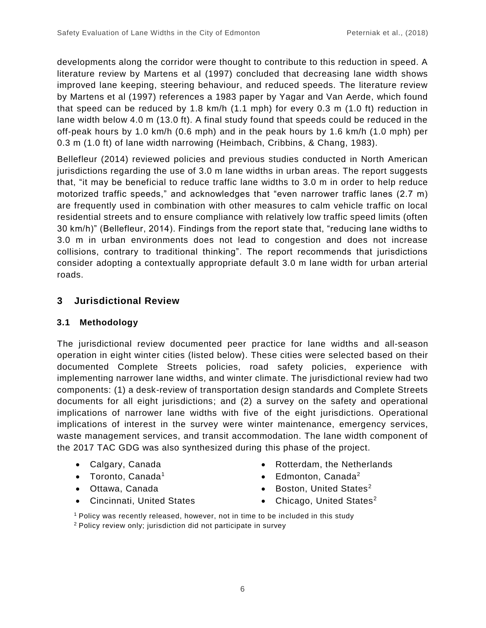developments along the corridor were thought to contribute to this reduction in speed. A literature review by Martens et al (1997) concluded that decreasing lane width shows improved lane keeping, steering behaviour, and reduced speeds. The literature review by Martens et al (1997) references a 1983 paper by Yagar and Van Aerde, which found that speed can be reduced by 1.8 km/h (1.1 mph) for every 0.3 m (1.0 ft) reduction in lane width below 4.0 m (13.0 ft). A final study found that speeds could be reduced in the off-peak hours by 1.0 km/h (0.6 mph) and in the peak hours by 1.6 km/h (1.0 mph) per 0.3 m (1.0 ft) of lane width narrowing (Heimbach, Cribbins, & Chang, 1983).

Bellefleur (2014) reviewed policies and previous studies conducted in North American jurisdictions regarding the use of 3.0 m lane widths in urban areas. The report suggests that, "it may be beneficial to reduce traffic lane widths to 3.0 m in order to help reduce motorized traffic speeds," and acknowledges that "even narrower traffic lanes (2.7 m) are frequently used in combination with other measures to calm vehicle traffic on local residential streets and to ensure compliance with relatively low traffic speed limits (often 30 km/h)" (Bellefleur, 2014). Findings from the report state that, "reducing lane widths to 3.0 m in urban environments does not lead to congestion and does not increase collisions, contrary to traditional thinking". The report recommends that jurisdictions consider adopting a contextually appropriate default 3.0 m lane width for urban arterial roads.

# **3 Jurisdictional Review**

#### **3.1 Methodology**

The jurisdictional review documented peer practice for lane widths and all-season operation in eight winter cities (listed below). These cities were selected based on their documented Complete Streets policies, road safety policies, experience with implementing narrower lane widths, and winter climate. The jurisdictional review had two components: (1) a desk-review of transportation design standards and Complete Streets documents for all eight jurisdictions; and (2) a survey on the safety and operational implications of narrower lane widths with five of the eight jurisdictions. Operational implications of interest in the survey were winter maintenance, emergency services, waste management services, and transit accommodation. The lane width component of the 2017 TAC GDG was also synthesized during this phase of the project.

- Calgary, Canada
- Toronto, Canada<sup>1</sup>
- Ottawa, Canada
- Cincinnati, United States
- Rotterdam, the Netherlands
- Edmonton, Canada<sup>2</sup>
- Boston, United States<sup>2</sup>
- Chicago, United States<sup>2</sup>
- <sup>1</sup> Policy was recently released, however, not in time to be included in this study 2 Policy review only; jurisdiction did not participate in survey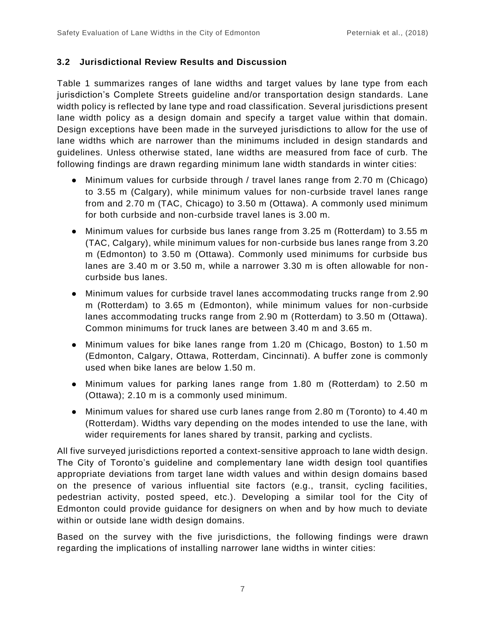#### **3.2 Jurisdictional Review Results and Discussion**

[Table 1](#page-8-0) summarizes ranges of lane widths and target values by lane type from each jurisdiction's Complete Streets guideline and/or transportation design standards. Lane width policy is reflected by lane type and road classification. Several jurisdictions present lane width policy as a design domain and specify a target value within that domain. Design exceptions have been made in the surveyed jurisdictions to allow for the use of lane widths which are narrower than the minimums included in design standards and guidelines. Unless otherwise stated, lane widths are measured from face of curb. The following findings are drawn regarding minimum lane width standards in winter cities:

- Minimum values for curbside through / travel lanes range from 2.70 m (Chicago) to 3.55 m (Calgary), while minimum values for non-curbside travel lanes range from and 2.70 m (TAC, Chicago) to 3.50 m (Ottawa). A commonly used minimum for both curbside and non-curbside travel lanes is 3.00 m.
- Minimum values for curbside bus lanes range from 3.25 m (Rotterdam) to 3.55 m (TAC, Calgary), while minimum values for non-curbside bus lanes range from 3.20 m (Edmonton) to 3.50 m (Ottawa). Commonly used minimums for curbside bus lanes are 3.40 m or 3.50 m, while a narrower 3.30 m is often allowable for noncurbside bus lanes.
- Minimum values for curbside travel lanes accommodating trucks range from 2.90 m (Rotterdam) to 3.65 m (Edmonton), while minimum values for non-curbside lanes accommodating trucks range from 2.90 m (Rotterdam) to 3.50 m (Ottawa). Common minimums for truck lanes are between 3.40 m and 3.65 m.
- Minimum values for bike lanes range from 1.20 m (Chicago, Boston) to 1.50 m (Edmonton, Calgary, Ottawa, Rotterdam, Cincinnati). A buffer zone is commonly used when bike lanes are below 1.50 m.
- Minimum values for parking lanes range from 1.80 m (Rotterdam) to 2.50 m (Ottawa); 2.10 m is a commonly used minimum.
- Minimum values for shared use curb lanes range from 2.80 m (Toronto) to 4.40 m (Rotterdam). Widths vary depending on the modes intended to use the lane, with wider requirements for lanes shared by transit, parking and cyclists.

All five surveyed jurisdictions reported a context-sensitive approach to lane width design. The City of Toronto's guideline and complementary lane width design tool quantifies appropriate deviations from target lane width values and within design domains based on the presence of various influential site factors (e.g., transit, cycling facilities, pedestrian activity, posted speed, etc.). Developing a similar tool for the City of Edmonton could provide guidance for designers on when and by how much to deviate within or outside lane width design domains.

Based on the survey with the five jurisdictions, the following findings were drawn regarding the implications of installing narrower lane widths in winter cities: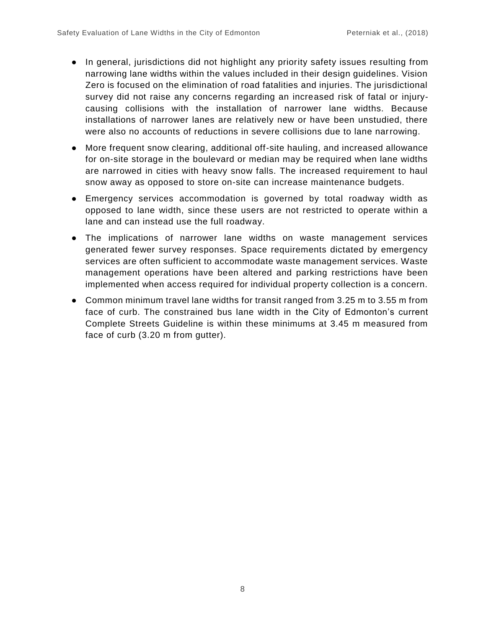- In general, jurisdictions did not highlight any priority safety issues resulting from narrowing lane widths within the values included in their design guidelines. Vision Zero is focused on the elimination of road fatalities and injuries. The jurisdictional survey did not raise any concerns regarding an increased risk of fatal or injurycausing collisions with the installation of narrower lane widths. Because installations of narrower lanes are relatively new or have been unstudied, there were also no accounts of reductions in severe collisions due to lane narrowing.
- More frequent snow clearing, additional off-site hauling, and increased allowance for on-site storage in the boulevard or median may be required when lane widths are narrowed in cities with heavy snow falls. The increased requirement to haul snow away as opposed to store on-site can increase maintenance budgets.
- Emergency services accommodation is governed by total roadway width as opposed to lane width, since these users are not restricted to operate within a lane and can instead use the full roadway.
- The implications of narrower lane widths on waste management services generated fewer survey responses. Space requirements dictated by emergency services are often sufficient to accommodate waste management services. Waste management operations have been altered and parking restrictions have been implemented when access required for individual property collection is a concern.
- Common minimum travel lane widths for transit ranged from 3.25 m to 3.55 m from face of curb. The constrained bus lane width in the City of Edmonton's current Complete Streets Guideline is within these minimums at 3.45 m measured from face of curb (3.20 m from gutter).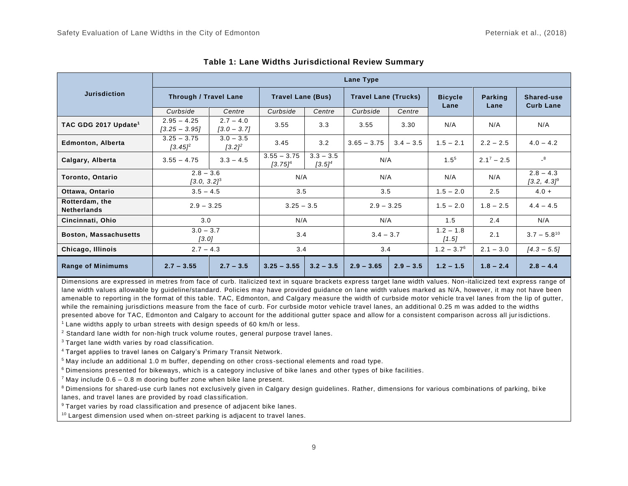|                                      | Lane Type                        |                              |                             |                          |                             |             |                        |                 |                                |
|--------------------------------------|----------------------------------|------------------------------|-----------------------------|--------------------------|-----------------------------|-------------|------------------------|-----------------|--------------------------------|
| <b>Jurisdiction</b>                  | <b>Through / Travel Lane</b>     |                              | <b>Travel Lane (Bus)</b>    |                          | <b>Travel Lane (Trucks)</b> |             | <b>Bicycle</b><br>Lane | Parking<br>Lane | Shared-use<br><b>Curb Lane</b> |
|                                      | Curbside                         | Centre                       | Curbside                    | Centre                   | Curbside                    | Centre      |                        |                 |                                |
| TAC GDG 2017 Update <sup>1</sup>     | $2.95 - 4.25$<br>$[3.25 - 3.95]$ | $2.7 - 4.0$<br>$[3.0 - 3.7]$ | 3.55                        | 3.3                      | 3.55                        | 3.30        | N/A                    | N/A             | N/A                            |
| <b>Edmonton, Alberta</b>             | $3.25 - 3.75$<br>$[3.45]^{2}$    | $3.0 - 3.5$<br>$[3.2]^{2}$   | 3.45                        | 3.2                      | $3.65 - 3.75$               | $3.4 - 3.5$ | $1.5 - 2.1$            | $2.2 - 2.5$     | $4.0 - 4.2$                    |
| Calgary, Alberta                     | $3.55 - 4.75$                    | $3.3 - 4.5$                  | $3.55 - 3.75$<br>$[3.75]^4$ | $3.3 - 3.5$<br>$[3.5]^4$ | N/A                         |             | $1.5^{5}$              | $2.1^7 - 2.5$   | $\overline{\phantom{0}}^8$     |
| Toronto, Ontario                     | $2.8 - 3.6$<br>$[3.0, 3.2]^3$    |                              | N/A                         |                          | N/A                         |             | N/A                    | N/A             | $2.8 - 4.3$<br>$[3.2, 4.3]^9$  |
| Ottawa, Ontario                      | $3.5 - 4.5$                      |                              | 3.5                         |                          | 3.5                         |             | $1.5 - 2.0$            | 2.5             | $4.0 +$                        |
| Rotterdam, the<br><b>Netherlands</b> | $2.9 - 3.25$                     |                              | $3.25 - 3.5$                |                          | $2.9 - 3.25$                |             | $1.5 - 2.0$            | $1.8 - 2.5$     | $4.4 - 4.5$                    |
| Cincinnati, Ohio                     | 3.0                              |                              | N/A                         |                          | N/A                         |             | 1.5                    | 2.4             | N/A                            |
| <b>Boston, Massachusetts</b>         | $3.0 - 3.7$<br>[3.0]             |                              | 3.4                         |                          | $3.4 - 3.7$                 |             | $1.2 - 1.8$<br>$[1.5]$ | 2.1             | $3.7 - 5.8^{10}$               |
| Chicago, Illinois                    | $2.7 - 4.3$                      |                              | 3.4                         |                          | 3.4                         |             | $1.2 - 3.7^6$          | $2.1 - 3.0$     | $[4.3 - 5.5]$                  |
| <b>Range of Minimums</b>             | $2.7 - 3.55$                     | $2.7 - 3.5$                  | $3.25 - 3.55$               | $3.2 - 3.5$              | $2.9 - 3.65$                | $2.9 - 3.5$ | $1.2 - 1.5$            | $1.8 - 2.4$     | $2.8 - 4.4$                    |

**Table 1: Lane Widths Jurisdictional Review Summary**

<span id="page-8-0"></span>Dimensions are expressed in metres from face of curb. Italicized text in square brackets express target lane width values. Non-italicized text express range of lane width values allowable by guideline/standard. Policies may have provided guidance on lane width values marked as N/A, however, it may not have been amenable to reporting in the format of this table. TAC, Edmonton, and Calgary measure the width of curbside motor vehicle tra vel lanes from the lip of gutter, while the remaining jurisdictions measure from the face of curb. For curbside motor vehicle travel lanes, an additional 0.25 m was added to the widths presented above for TAC, Edmonton and Calgary to account for the additional gutter space and allow for a consistent comparison across all jur isdictions.

 $1$  Lane widths apply to urban streets with design speeds of 60 km/h or less.

<sup>2</sup> Standard lane width for non-high truck volume routes, general purpose travel lanes.

<sup>3</sup> Target lane width varies by road classification.

<sup>4</sup>Target applies to travel lanes on Calgary's Primary Transit Network.

<sup>5</sup> May include an additional 1.0 m buffer, depending on other cross-sectional elements and road type.

<sup>6</sup> Dimensions presented for bikeways, which is a category inclusive of bike lanes and other types of bike facilities.

 $7$  May include 0.6 – 0.8 m dooring buffer zone when bike lane present.

<sup>8</sup> Dimensions for shared-use curb lanes not exclusively given in Calgary design guidelines. Rather, dimensions for various combinations of parking, bike lanes, and travel lanes are provided by road classification.

<sup>9</sup> Target varies by road classification and presence of adjacent bike lanes.

<sup>10</sup> Largest dimension used when on-street parking is adjacent to travel lanes.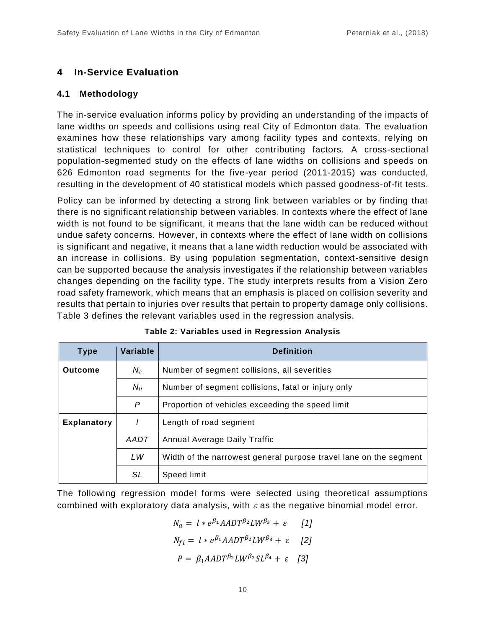# **4 In-Service Evaluation**

#### **4.1 Methodology**

The in-service evaluation informs policy by providing an understanding of the impacts of lane widths on speeds and collisions using real City of Edmonton data. The evaluation examines how these relationships vary among facility types and contexts, relying on statistical techniques to control for other contributing factors. A cross-sectional population-segmented study on the effects of lane widths on collisions and speeds on 626 Edmonton road segments for the five-year period (2011-2015) was conducted, resulting in the development of 40 statistical models which passed goodness-of-fit tests.

Policy can be informed by detecting a strong link between variables or by finding that there is no significant relationship between variables. In contexts where the effect of lane width is not found to be significant, it means that the lane width can be reduced without undue safety concerns. However, in contexts where the effect of lane width on collisions is significant and negative, it means that a lane width reduction would be associated with an increase in collisions. By using population segmentation, context-sensitive design can be supported because the analysis investigates if the relationship between variables changes depending on the facility type. The study interprets results from a Vision Zero road safety framework, which means that an emphasis is placed on collision severity and results that pertain to injuries over results that pertain to property damage only collisions. Table 3 defines the relevant variables used in the regression analysis.

| <b>Type</b>        | Variable | <b>Definition</b>                                                 |
|--------------------|----------|-------------------------------------------------------------------|
| <b>Outcome</b>     | $N_a$    | Number of segment collisions, all severities                      |
|                    | $N_{fi}$ | Number of segment collisions, fatal or injury only                |
|                    | P        | Proportion of vehicles exceeding the speed limit                  |
| <b>Explanatory</b> |          | Length of road segment                                            |
|                    | AADT     | Annual Average Daily Traffic                                      |
|                    | LW       | Width of the narrowest general purpose travel lane on the segment |
|                    | SL       | Speed limit                                                       |

|  |  |  |  |  | Table 2: Variables used in Regression Analysis |  |
|--|--|--|--|--|------------------------------------------------|--|
|--|--|--|--|--|------------------------------------------------|--|

The following regression model forms were selected using theoretical assumptions combined with exploratory data analysis, with  $\varepsilon$  as the negative binomial model error.

$$
N_a = l * e^{\beta_1} A A D T^{\beta_2} L W^{\beta_3} + \varepsilon \qquad [1]
$$
  

$$
N_{fi} = l * e^{\beta_1} A A D T^{\beta_2} L W^{\beta_3} + \varepsilon \qquad [2]
$$
  

$$
P = \beta_1 A A D T^{\beta_2} L W^{\beta_3} S L^{\beta_4} + \varepsilon \qquad [3]
$$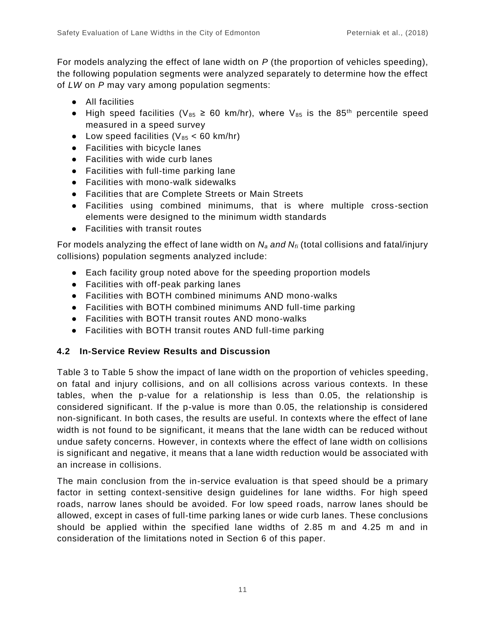For models analyzing the effect of lane width on *P* (the proportion of vehicles speeding), the following population segments were analyzed separately to determine how the effect of *LW* on *P* may vary among population segments:

- All facilities
- High speed facilities ( $V_{85} \ge 60$  km/hr), where  $V_{85}$  is the 85<sup>th</sup> percentile speed measured in a speed survey
- Low speed facilities ( $V_{85}$  < 60 km/hr)
- Facilities with bicycle lanes
- Facilities with wide curb lanes
- Facilities with full-time parking lane
- Facilities with mono-walk sidewalks
- Facilities that are Complete Streets or Main Streets
- Facilities using combined minimums, that is where multiple cross-section elements were designed to the minimum width standards
- Facilities with transit routes

For models analyzing the effect of lane width on *N<sup>a</sup> and Nfi* (total collisions and fatal/injury collisions) population segments analyzed include:

- Each facility group noted above for the speeding proportion models
- Facilities with off-peak parking lanes
- Facilities with BOTH combined minimums AND mono-walks
- Facilities with BOTH combined minimums AND full-time parking
- Facilities with BOTH transit routes AND mono-walks
- Facilities with BOTH transit routes AND full-time parking

#### **4.2 In-Service Review Results and Discussion**

Table 3 to Table 5 show the impact of lane width on the proportion of vehicles speeding, on fatal and injury collisions, and on all collisions across various contexts. In these tables, when the p-value for a relationship is less than 0.05, the relationship is considered significant. If the p-value is more than 0.05, the relationship is considered non-significant. In both cases, the results are useful. In contexts where the effect of lane width is not found to be significant, it means that the lane width can be reduced without undue safety concerns. However, in contexts where the effect of lane width on collisions is significant and negative, it means that a lane width reduction would be associated with an increase in collisions.

The main conclusion from the in-service evaluation is that speed should be a primary factor in setting context-sensitive design guidelines for lane widths. For high speed roads, narrow lanes should be avoided. For low speed roads, narrow lanes should be allowed, except in cases of full-time parking lanes or wide curb lanes. These conclusions should be applied within the specified lane widths of 2.85 m and 4.25 m and in consideration of the limitations noted in Section 6 of this paper.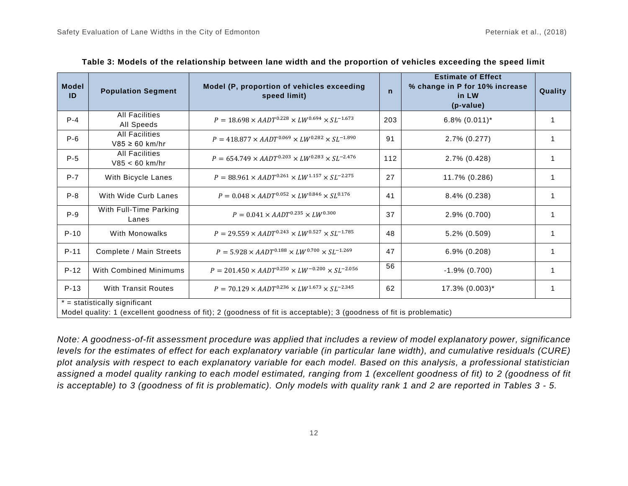| <b>Model</b><br>ID | <b>Population Segment</b>                    | Model (P, proportion of vehicles exceeding<br>speed limit)                                                          | $\mathsf{n}$ | <b>Estimate of Effect</b><br>% change in P for 10% increase<br>in LW<br>(p-value) | Quality      |
|--------------------|----------------------------------------------|---------------------------------------------------------------------------------------------------------------------|--------------|-----------------------------------------------------------------------------------|--------------|
| $P - 4$            | <b>All Facilities</b><br>All Speeds          | $P = 18.698 \times AADT^{0.228} \times LW^{0.694} \times SL^{-1.673}$                                               | 203          | $6.8\%$ $(0.011)^*$                                                               |              |
| $P-6$              | <b>All Facilities</b><br>$V85 \geq 60$ km/hr | $P = 418.877 \times AADT^{0.069} \times LW^{0.282} \times SL^{-1.890}$                                              | 91           | 2.7% (0.277)                                                                      |              |
| $P-5$              | <b>All Facilities</b><br>$V85 < 60$ km/hr    | $P = 654.749 \times AADT^{0.203} \times LW^{0.283} \times SL^{-2.476}$                                              | 112          | 2.7% (0.428)                                                                      |              |
| $P-7$              | With Bicycle Lanes                           | $P = 88.961 \times AADT^{0.261} \times LW^{1.157} \times SL^{-2.275}$                                               | 27           | 11.7% (0.286)                                                                     | 1            |
| $P-8$              | With Wide Curb Lanes                         | $P = 0.048 \times AADT^{0.052} \times LW^{0.846} \times SL^{0.176}$                                                 | 41           | $8.4\%$ (0.238)                                                                   | 1            |
| $P-9$              | With Full-Time Parking<br>Lanes              | $P = 0.041 \times AADT^{0.235} \times LW^{0.300}$                                                                   | 37           | $2.9\%$ (0.700)                                                                   |              |
| $P-10$             | With Monowalks                               | $P = 29.559 \times AADT^{0.243} \times LW^{0.527} \times SL^{-1.785}$                                               | 48           | $5.2\%$ (0.509)                                                                   |              |
| $P-11$             | Complete / Main Streets                      | $P = 5.928 \times AADT^{0.188} \times LW^{0.700} \times SL^{-1.269}$                                                | 47           | 6.9% (0.208)                                                                      | 1            |
| $P-12$             | <b>With Combined Minimums</b>                | $P = 201.450 \times AADT^{0.250} \times LW^{-0.200} \times SL^{-2.056}$                                             | 56           | $-1.9\%$ (0.700)                                                                  |              |
| $P-13$             | <b>With Transit Routes</b>                   | $P = 70.129 \times AADT^{0.236} \times LW^{1.673} \times SL^{-2.345}$                                               | 62           | $17.3\%$ (0.003)*                                                                 | $\mathbf{1}$ |
|                    | $* =$ statistically significant              |                                                                                                                     |              |                                                                                   |              |
|                    |                                              | Model quality: 1 (excellent goodness of fit); 2 (goodness of fit is acceptable); 3 (goodness of fit is problematic) |              |                                                                                   |              |

| Table 3: Models of the relationship between lane width and the proportion of vehicles exceeding the speed limit |  |  |  |
|-----------------------------------------------------------------------------------------------------------------|--|--|--|
|-----------------------------------------------------------------------------------------------------------------|--|--|--|

*Note: A goodness-of-fit assessment procedure was applied that includes a review of model explanatory power, significance levels for the estimates of effect for each explanatory variable (in particular lane width), and cumulative residuals (CURE) plot analysis with respect to each explanatory variable for each model. Based on this analysis, a professional statistician*  assigned a model quality ranking to each model estimated, ranging from 1 (excellent goodness of fit) to 2 (goodness of fit *is acceptable) to 3 (goodness of fit is problematic). Only models with quality rank 1 and 2 are reported in Tables 3 - 5.*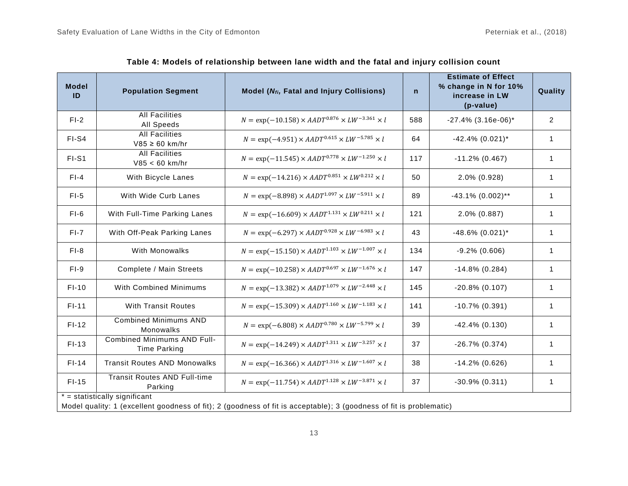| <b>Model</b><br>ID | <b>Population Segment</b>                                 | Model (N <sub>fi</sub> , Fatal and Injury Collisions)                                                               | $\mathsf{n}$ | <b>Estimate of Effect</b><br>% change in N for 10%<br>increase in LW<br>(p-value) | Quality        |
|--------------------|-----------------------------------------------------------|---------------------------------------------------------------------------------------------------------------------|--------------|-----------------------------------------------------------------------------------|----------------|
| $FI-2$             | <b>All Facilities</b><br>All Speeds                       | $N = \exp(-10.158) \times AADT^{0.876} \times LW^{-3.361} \times l$                                                 | 588          | $-27.4\%$ (3.16e-06)*                                                             | $\overline{2}$ |
| FI-S4              | <b>All Facilities</b><br>$V85 \geq 60$ km/hr              | $N = \exp(-4.951) \times AADT^{0.615} \times LW^{-5.785} \times l$                                                  | 64           | $-42.4\%$ (0.021)*                                                                | $\mathbf 1$    |
| FI-S1              | <b>All Facilities</b><br>$V85 < 60$ km/hr                 | $N = \exp(-11.545) \times AADT^{0.778} \times LW^{-1.250} \times l$                                                 | 117          | $-11.2\%$ (0.467)                                                                 | $\mathbf{1}$   |
| $F - 4$            | With Bicycle Lanes                                        | $N = \exp(-14.216) \times AADT^{0.851} \times LW^{0.212} \times l$                                                  | 50           | 2.0% (0.928)                                                                      |                |
| $FI-5$             | With Wide Curb Lanes                                      | $N = \exp(-8.898) \times AADT^{1.097} \times LW^{-5.911} \times l$                                                  | 89           | $-43.1\%$ (0.002)**                                                               | 1              |
| $FI-6$             | With Full-Time Parking Lanes                              | $N = \exp(-16.609) \times AADT^{1.131} \times LW^{0.211} \times l$                                                  | 121          | 2.0% (0.887)                                                                      | 1              |
| $FI-7$             | With Off-Peak Parking Lanes                               | $N = \exp(-6.297) \times AADT^{0.928} \times LW^{-6.983} \times l$                                                  | 43           | $-48.6\%$ (0.021)*                                                                | 1              |
| $F1-8$             | With Monowalks                                            | $N = \exp(-15.150) \times AADT^{1.103} \times LW^{-1.007} \times l$                                                 | 134          | $-9.2\%$ (0.606)                                                                  | 1              |
| $FI-9$             | Complete / Main Streets                                   | $N = \exp(-10.258) \times AADT^{0.697} \times LW^{-1.676} \times l$                                                 | 147          | $-14.8\%$ (0.284)                                                                 | $\mathbf{1}$   |
| $FI-10$            | With Combined Minimums                                    | $N = \exp(-13.382) \times AADT^{1.079} \times LW^{-2.448} \times l$                                                 | 145          | $-20.8\%$ (0.107)                                                                 | $\mathbf{1}$   |
| $FI-11$            | <b>With Transit Routes</b>                                | $N = \exp(-15.309) \times AADT^{1.160} \times LW^{-1.183} \times l$                                                 | 141          | $-10.7\%$ (0.391)                                                                 | $\mathbf{1}$   |
| $FI-12$            | <b>Combined Minimums AND</b><br>Monowalks                 | $N = \exp(-6.808) \times AADT^{0.780} \times LW^{-5.799} \times l$                                                  | 39           | $-42.4\%$ (0.130)                                                                 | $\mathbf{1}$   |
| $FI-13$            | <b>Combined Minimums AND Full-</b><br><b>Time Parking</b> | $N = \exp(-14.249) \times AADT^{1.311} \times LW^{-3.257} \times l$                                                 | 37           | $-26.7\%$ (0.374)                                                                 | $\mathbf{1}$   |
| $FI-14$            | <b>Transit Routes AND Monowalks</b>                       | $N = \exp(-16.366) \times AADT^{1.316} \times LW^{-1.607} \times l$                                                 | 38           | $-14.2\%$ (0.626)                                                                 | 1              |
| $FI-15$            | <b>Transit Routes AND Full-time</b><br>Parking            | $N = \exp(-11.754) \times AADT^{1.128} \times LW^{-3.871} \times l$                                                 | 37           | $-30.9\%$ (0.311)                                                                 | 1              |
|                    | $* =$ statistically significant                           | Model quality: 1 (excellent goodness of fit); 2 (goodness of fit is acceptable); 3 (goodness of fit is problematic) |              |                                                                                   |                |

| Table 4: Models of relationship between lane width and the fatal and injury collision count |  |  |  |  |
|---------------------------------------------------------------------------------------------|--|--|--|--|
|---------------------------------------------------------------------------------------------|--|--|--|--|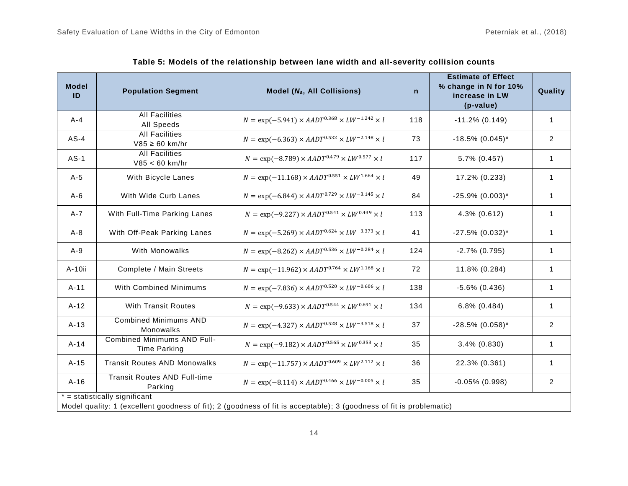| <b>Model</b><br>ID                                                                                                  | <b>Population Segment</b>                          | Model (N <sub>a</sub> , All Collisions)                            | $\mathsf{n}$ | <b>Estimate of Effect</b><br>% change in N for 10%<br>increase in LW<br>(p-value) | Quality        |  |
|---------------------------------------------------------------------------------------------------------------------|----------------------------------------------------|--------------------------------------------------------------------|--------------|-----------------------------------------------------------------------------------|----------------|--|
| $A - 4$                                                                                                             | <b>All Facilities</b><br>All Speeds                | $N = \exp(-5.941) \times AADT^{0.368} \times LW^{-1.242} \times l$ | 118          | $-11.2\%$ (0.149)                                                                 | $\mathbf{1}$   |  |
| $AS-4$                                                                                                              | <b>All Facilities</b><br>$V85 \ge 60$ km/hr        | $N = \exp(-6.363) \times AADT^{0.532} \times LW^{-2.148} \times l$ | 73           | $-18.5\%$ (0.045)*                                                                | $\overline{2}$ |  |
| $AS-1$                                                                                                              | <b>All Facilities</b><br>$V85 < 60$ km/hr          | $N = \exp(-8.789) \times AADT^{0.479} \times LW^{0.577} \times l$  | 117          | 5.7% (0.457)                                                                      | $\mathbf{1}$   |  |
| $A-5$                                                                                                               | With Bicycle Lanes                                 | $N = \exp(-11.168) \times AADT^{0.551} \times LW^{1.664} \times l$ | 49           | 17.2% (0.233)                                                                     | $\mathbf{1}$   |  |
| $A-6$                                                                                                               | With Wide Curb Lanes                               | $N = \exp(-6.844) \times AADT^{0.729} \times LW^{-3.145} \times l$ | 84           | $-25.9\%$ (0.003)*                                                                | $\mathbf{1}$   |  |
| $A - 7$                                                                                                             | With Full-Time Parking Lanes                       | $N = \exp(-9.227) \times AADT^{0.541} \times LW^{0.439} \times l$  | 113          | 4.3% (0.612)                                                                      | $\mathbf{1}$   |  |
| $A-8$                                                                                                               | With Off-Peak Parking Lanes                        | $N = \exp(-5.269) \times AADT^{0.624} \times LW^{-3.373} \times l$ | 41           | $-27.5\%$ (0.032)*                                                                | $\mathbf{1}$   |  |
| $A-9$                                                                                                               | With Monowalks                                     | $N = \exp(-8.262) \times AADT^{0.536} \times LW^{-0.284} \times l$ | 124          | $-2.7\%$ (0.795)                                                                  | $\mathbf{1}$   |  |
| A-10ii                                                                                                              | Complete / Main Streets                            | $N = \exp(-11.962) \times AADT^{0.764} \times LW^{1.168} \times l$ | 72           | 11.8% (0.284)                                                                     | $\mathbf{1}$   |  |
| $A-11$                                                                                                              | With Combined Minimums                             | $N = \exp(-7.836) \times AADT^{0.520} \times LW^{-0.606} \times l$ | 138          | $-5.6\%$ (0.436)                                                                  | $\mathbf{1}$   |  |
| $A-12$                                                                                                              | <b>With Transit Routes</b>                         | $N = \exp(-9.633) \times AADT^{0.544} \times LW^{0.691} \times l$  | 134          | $6.8\%$ $(0.484)$                                                                 | $\mathbf{1}$   |  |
| $A-13$                                                                                                              | <b>Combined Minimums AND</b><br>Monowalks          | $N = \exp(-4.327) \times AADT^{0.528} \times LW^{-3.518} \times l$ | 37           | $-28.5\%$ (0.058)*                                                                | $\overline{2}$ |  |
| $A-14$                                                                                                              | Combined Minimums AND Full-<br><b>Time Parking</b> | $N = \exp(-9.182) \times AADT^{0.565} \times LW^{0.353} \times l$  | 35           | $3.4\%$ (0.830)                                                                   | $\mathbf 1$    |  |
| $A-15$                                                                                                              | <b>Transit Routes AND Monowalks</b>                | $N = \exp(-11.757) \times AADT^{0.609} \times LW^{2.112} \times l$ | 36           | 22.3% (0.361)                                                                     | 1              |  |
| $A-16$                                                                                                              | <b>Transit Routes AND Full-time</b><br>Parking     | $N = \exp(-8.114) \times AADT^{0.466} \times LW^{-0.005} \times l$ | 35           | $-0.05\%$ (0.998)                                                                 | $\overline{a}$ |  |
|                                                                                                                     | $*$ = statistically significant                    |                                                                    |              |                                                                                   |                |  |
| Model quality: 1 (excellent goodness of fit); 2 (goodness of fit is acceptable); 3 (goodness of fit is problematic) |                                                    |                                                                    |              |                                                                                   |                |  |

**Table 5: Models of the relationship between lane width and all-severity collision counts**

14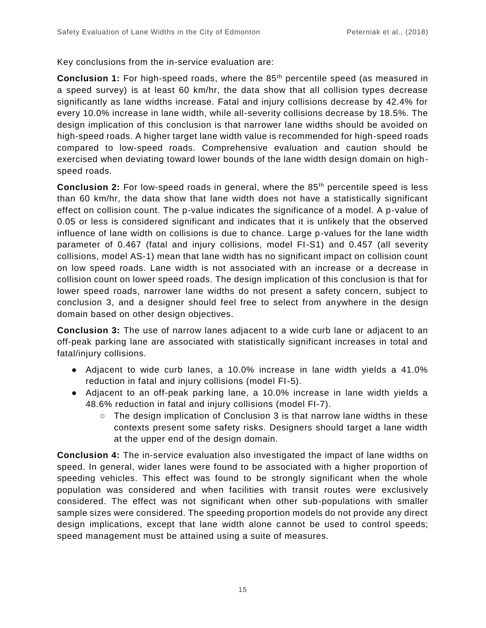Key conclusions from the in-service evaluation are:

**Conclusion 1:** For high-speed roads, where the 85<sup>th</sup> percentile speed (as measured in a speed survey) is at least 60 km/hr, the data show that all collision types decrease significantly as lane widths increase. Fatal and injury collisions decrease by 42.4% for every 10.0% increase in lane width, while all-severity collisions decrease by 18.5%. The design implication of this conclusion is that narrower lane widths should be avoided on high-speed roads. A higher target lane width value is recommended for high-speed roads compared to low-speed roads. Comprehensive evaluation and caution should be exercised when deviating toward lower bounds of the lane width design domain on highspeed roads.

**Conclusion 2:** For low-speed roads in general, where the 85<sup>th</sup> percentile speed is less than 60 km/hr, the data show that lane width does not have a statistically significant effect on collision count. The p-value indicates the significance of a model. A p-value of 0.05 or less is considered significant and indicates that it is unlikely that the observed influence of lane width on collisions is due to chance. Large p-values for the lane width parameter of 0.467 (fatal and injury collisions, model FI-S1) and 0.457 (all severity collisions, model AS-1) mean that lane width has no significant impact on collision count on low speed roads. Lane width is not associated with an increase or a decrease in collision count on lower speed roads. The design implication of this conclusion is that for lower speed roads, narrower lane widths do not present a safety concern, subject to conclusion 3, and a designer should feel free to select from anywhere in the design domain based on other design objectives.

**Conclusion 3:** The use of narrow lanes adjacent to a wide curb lane or adjacent to an off-peak parking lane are associated with statistically significant increases in total and fatal/injury collisions.

- Adjacent to wide curb lanes, a 10.0% increase in lane width yields a 41.0% reduction in fatal and injury collisions (model FI-5).
- Adjacent to an off-peak parking lane, a 10.0% increase in lane width yields a 48.6% reduction in fatal and injury collisions (model FI-7).
	- $\circ$  The design implication of Conclusion 3 is that narrow lane widths in these contexts present some safety risks. Designers should target a lane width at the upper end of the design domain.

**Conclusion 4:** The in-service evaluation also investigated the impact of lane widths on speed. In general, wider lanes were found to be associated with a higher proportion of speeding vehicles. This effect was found to be strongly significant when the whole population was considered and when facilities with transit routes were exclusively considered. The effect was not significant when other sub-populations with smaller sample sizes were considered. The speeding proportion models do not provide any direct design implications, except that lane width alone cannot be used to control speeds; speed management must be attained using a suite of measures.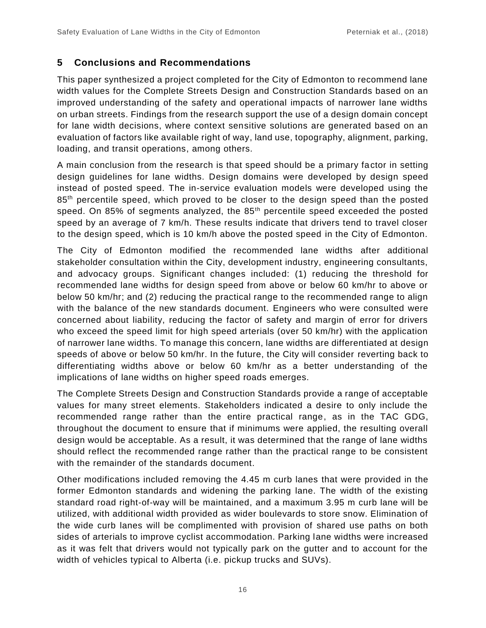### **5 Conclusions and Recommendations**

This paper synthesized a project completed for the City of Edmonton to recommend lane width values for the Complete Streets Design and Construction Standards based on an improved understanding of the safety and operational impacts of narrower lane widths on urban streets. Findings from the research support the use of a design domain concept for lane width decisions, where context sensitive solutions are generated based on an evaluation of factors like available right of way, land use, topography, alignment, parking, loading, and transit operations, among others.

A main conclusion from the research is that speed should be a primary factor in setting design guidelines for lane widths. Design domains were developed by design speed instead of posted speed. The in-service evaluation models were developed using the 85<sup>th</sup> percentile speed, which proved to be closer to the design speed than the posted speed. On 85% of segments analyzed, the  $85<sup>th</sup>$  percentile speed exceeded the posted speed by an average of 7 km/h. These results indicate that drivers tend to travel closer to the design speed, which is 10 km/h above the posted speed in the City of Edmonton.

The City of Edmonton modified the recommended lane widths after additional stakeholder consultation within the City, development industry, engineering consultants, and advocacy groups. Significant changes included: (1) reducing the threshold for recommended lane widths for design speed from above or below 60 km/hr to above or below 50 km/hr; and (2) reducing the practical range to the recommended range to align with the balance of the new standards document. Engineers who were consulted were concerned about liability, reducing the factor of safety and margin of error for drivers who exceed the speed limit for high speed arterials (over 50 km/hr) with the application of narrower lane widths. To manage this concern, lane widths are differentiated at design speeds of above or below 50 km/hr. In the future, the City will consider reverting back to differentiating widths above or below 60 km/hr as a better understanding of the implications of lane widths on higher speed roads emerges.

The Complete Streets Design and Construction Standards provide a range of acceptable values for many street elements. Stakeholders indicated a desire to only include the recommended range rather than the entire practical range, as in the TAC GDG, throughout the document to ensure that if minimums were applied, the resulting overall design would be acceptable. As a result, it was determined that the range of lane widths should reflect the recommended range rather than the practical range to be consistent with the remainder of the standards document.

Other modifications included removing the 4.45 m curb lanes that were provided in the former Edmonton standards and widening the parking lane. The width of the existing standard road right-of-way will be maintained, and a maximum 3.95 m curb lane will be utilized, with additional width provided as wider boulevards to store snow. Elimination of the wide curb lanes will be complimented with provision of shared use paths on both sides of arterials to improve cyclist accommodation. Parking lane widths were increased as it was felt that drivers would not typically park on the gutter and to account for the width of vehicles typical to Alberta (i.e. pickup trucks and SUVs).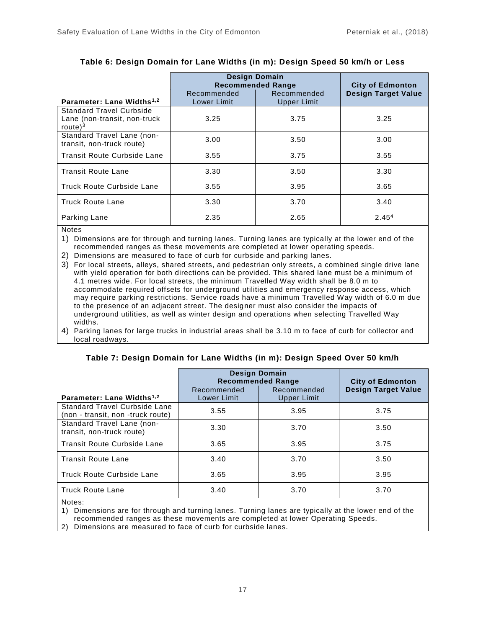|                                                                                | <b>Design Domain</b><br><b>Recommended Range</b> | <b>City of Edmonton</b>           |                            |
|--------------------------------------------------------------------------------|--------------------------------------------------|-----------------------------------|----------------------------|
| Parameter: Lane Widths <sup>1,2</sup>                                          | Recommended<br>Lower Limit                       | Recommended<br><b>Upper Limit</b> | <b>Design Target Value</b> |
| <b>Standard Travel Curbside</b><br>Lane (non-transit, non-truck<br>route $)^3$ | 3.25                                             | 3.75                              | 3.25                       |
| Standard Travel Lane (non-<br>transit, non-truck route)                        | 3.00                                             | 3.50                              | 3.00                       |
| Transit Route Curbside Lane                                                    | 3.55                                             | 3.75                              | 3.55                       |
| <b>Transit Route Lane</b>                                                      | 3.30                                             | 3.50                              | 3.30                       |
| Truck Route Curbside Lane                                                      | 3.55                                             | 3.95                              | 3.65                       |
| <b>Truck Route Lane</b>                                                        | 3.30                                             | 3.70                              | 3.40                       |
| Parking Lane                                                                   | 2.35                                             | 2.65                              | 2.45 <sup>4</sup>          |

#### **Table 6: Design Domain for Lane Widths (in m): Design Speed 50 km/h or Less**

**Notes** 

1) Dimensions are for through and turning lanes. Turning lanes are typically at the lower end of the recommended ranges as these movements are completed at lower operating speeds.

2) Dimensions are measured to face of curb for curbside and parking lanes.

3) For local streets, alleys, shared streets, and pedestrian only streets, a combined single drive lane with yield operation for both directions can be provided. This shared lane must be a minimum of 4.1 metres wide. For local streets, the minimum Travelled Way width shall be 8.0 m to accommodate required offsets for underground utilities and emergency response access, which may require parking restrictions. Service roads have a minimum Travelled Way width of 6.0 m due to the presence of an adjacent street. The designer must also consider the impacts of underground utilities, as well as winter design and operations when selecting Travelled Way widths.

4) Parking lanes for large trucks in industrial areas shall be 3.10 m to face of curb for collector and local roadways.

|                                                                           | <b>Design Domain</b><br><b>Recommended Range</b> | <b>City of Edmonton</b>           |                            |
|---------------------------------------------------------------------------|--------------------------------------------------|-----------------------------------|----------------------------|
| Parameter: Lane Widths <sup>1,2</sup>                                     | Recommended<br>Lower Limit                       | Recommended<br><b>Upper Limit</b> | <b>Design Target Value</b> |
| <b>Standard Travel Curbside Lane</b><br>(non - transit, non -truck route) | 3.55                                             | 3.95                              | 3.75                       |
| Standard Travel Lane (non-<br>transit, non-truck route)                   | 3.30                                             | 3.70                              | 3.50                       |
| Transit Route Curbside Lane                                               | 3.65                                             | 3.95                              | 3.75                       |
| <b>Transit Route Lane</b>                                                 | 3.40                                             | 3.70                              | 3.50                       |
| Truck Route Curbside Lane                                                 | 3.65                                             | 3.95                              | 3.95                       |
| <b>Truck Route Lane</b>                                                   | 3.40                                             | 3.70                              | 3.70                       |

#### **Table 7: Design Domain for Lane Widths (in m): Design Speed Over 50 km/h**

Notes:

1) Dimensions are for through and turning lanes. Turning lanes are typically at the lower end of the recommended ranges as these movements are completed at lower Operating Speeds.

2) Dimensions are measured to face of curb for curbside lanes.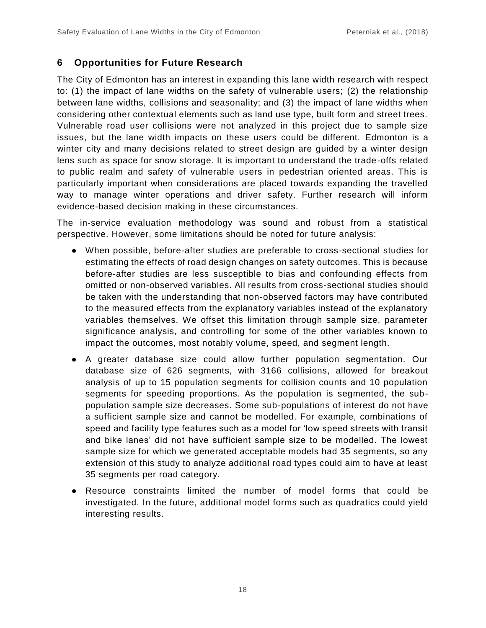# **6 Opportunities for Future Research**

The City of Edmonton has an interest in expanding this lane width research with respect to: (1) the impact of lane widths on the safety of vulnerable users; (2) the relationship between lane widths, collisions and seasonality; and (3) the impact of lane widths when considering other contextual elements such as land use type, built form and street trees. Vulnerable road user collisions were not analyzed in this project due to sample size issues, but the lane width impacts on these users could be different. Edmonton is a winter city and many decisions related to street design are guided by a winter design lens such as space for snow storage. It is important to understand the trade-offs related to public realm and safety of vulnerable users in pedestrian oriented areas. This is particularly important when considerations are placed towards expanding the travelled way to manage winter operations and driver safety. Further research will inform evidence-based decision making in these circumstances.

The in-service evaluation methodology was sound and robust from a statistical perspective. However, some limitations should be noted for future analysis:

- When possible, before-after studies are preferable to cross-sectional studies for estimating the effects of road design changes on safety outcomes. This is because before-after studies are less susceptible to bias and confounding effects from omitted or non-observed variables. All results from cross-sectional studies should be taken with the understanding that non-observed factors may have contributed to the measured effects from the explanatory variables instead of the explanatory variables themselves. We offset this limitation through sample size, parameter significance analysis, and controlling for some of the other variables known to impact the outcomes, most notably volume, speed, and segment length.
- A greater database size could allow further population segmentation. Our database size of 626 segments, with 3166 collisions, allowed for breakout analysis of up to 15 population segments for collision counts and 10 population segments for speeding proportions. As the population is segmented, the subpopulation sample size decreases. Some sub-populations of interest do not have a sufficient sample size and cannot be modelled. For example, combinations of speed and facility type features such as a model for 'low speed streets with transit and bike lanes' did not have sufficient sample size to be modelled. The lowest sample size for which we generated acceptable models had 35 segments, so any extension of this study to analyze additional road types could aim to have at least 35 segments per road category.
- Resource constraints limited the number of model forms that could be investigated. In the future, additional model forms such as quadratics could yield interesting results.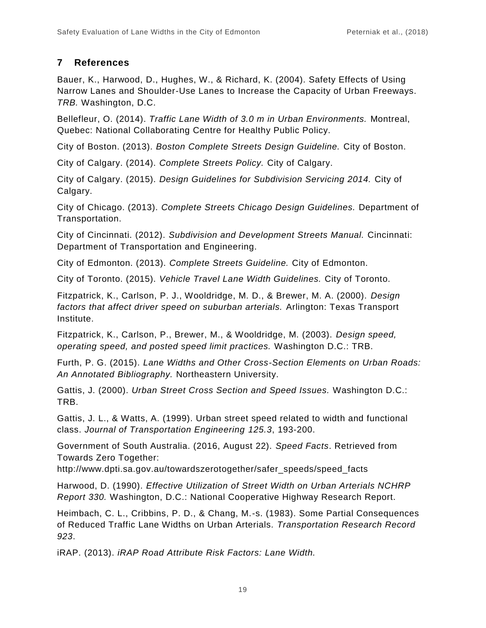# **7 References**

Bauer, K., Harwood, D., Hughes, W., & Richard, K. (2004). Safety Effects of Using Narrow Lanes and Shoulder-Use Lanes to Increase the Capacity of Urban Freeways. *TRB.* Washington, D.C.

Bellefleur, O. (2014). *Traffic Lane Width of 3.0 m in Urban Environments.* Montreal, Quebec: National Collaborating Centre for Healthy Public Policy.

City of Boston. (2013). *Boston Complete Streets Design Guideline.* City of Boston.

City of Calgary. (2014). *Complete Streets Policy.* City of Calgary.

City of Calgary. (2015). *Design Guidelines for Subdivision Servicing 2014.* City of Calgary.

City of Chicago. (2013). *Complete Streets Chicago Design Guidelines.* Department of Transportation.

City of Cincinnati. (2012). *Subdivision and Development Streets Manual.* Cincinnati: Department of Transportation and Engineering.

City of Edmonton. (2013). *Complete Streets Guideline.* City of Edmonton.

City of Toronto. (2015). *Vehicle Travel Lane Width Guidelines.* City of Toronto.

Fitzpatrick, K., Carlson, P. J., Wooldridge, M. D., & Brewer, M. A. (2000). *Design factors that affect driver speed on suburban arterials.* Arlington: Texas Transport Institute.

Fitzpatrick, K., Carlson, P., Brewer, M., & Wooldridge, M. (2003). *Design speed, operating speed, and posted speed limit practices.* Washington D.C.: TRB.

Furth, P. G. (2015). *Lane Widths and Other Cross-Section Elements on Urban Roads: An Annotated Bibliography.* Northeastern University.

Gattis, J. (2000). *Urban Street Cross Section and Speed Issues.* Washington D.C.: TRB.

Gattis, J. L., & Watts, A. (1999). Urban street speed related to width and functional class. *Journal of Transportation Engineering 125.3*, 193-200.

Government of South Australia. (2016, August 22). *Speed Facts*. Retrieved from Towards Zero Together:

http://www.dpti.sa.gov.au/towardszerotogether/safer\_speeds/speed\_facts

Harwood, D. (1990). *Effective Utilization of Street Width on Urban Arterials NCHRP Report 330.* Washington, D.C.: National Cooperative Highway Research Report.

Heimbach, C. L., Cribbins, P. D., & Chang, M.-s. (1983). Some Partial Consequences of Reduced Traffic Lane Widths on Urban Arterials. *Transportation Research Record 923*.

iRAP. (2013). *iRAP Road Attribute Risk Factors: Lane Width.*